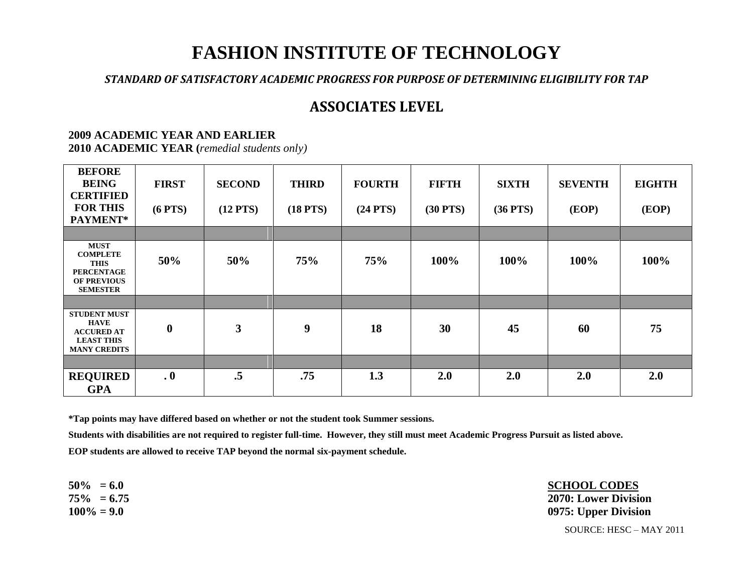# **FASHION INSTITUTE OF TECHNOLOGY**

*STANDARD OF SATISFACTORY ACADEMIC PROGRESS FOR PURPOSE OF DETERMINING ELIGIBILITY FOR TAP*

## **ASSOCIATES LEVEL**

### **2009 ACADEMIC YEAR AND EARLIER**

**2010 ACADEMIC YEAR (***remedial students only)*

| <b>BEFORE</b><br><b>BEING</b><br><b>CERTIFIED</b><br><b>FOR THIS</b><br>PAYMENT*                            | <b>FIRST</b><br>$(6$ PTS $)$ | <b>SECOND</b><br>$(12$ PTS) | <b>THIRD</b><br>$(18$ PTS $)$ | <b>FOURTH</b><br>$(24$ PTS) | <b>FIFTH</b><br>$(30$ PTS $)$ | <b>SIXTH</b><br>$(36$ PTS $)$ | <b>SEVENTH</b><br>(EOP) | <b>EIGHTH</b><br>(EOP) |
|-------------------------------------------------------------------------------------------------------------|------------------------------|-----------------------------|-------------------------------|-----------------------------|-------------------------------|-------------------------------|-------------------------|------------------------|
|                                                                                                             |                              |                             |                               |                             |                               |                               |                         |                        |
| <b>MUST</b><br><b>COMPLETE</b><br><b>THIS</b><br><b>PERCENTAGE</b><br><b>OF PREVIOUS</b><br><b>SEMESTER</b> | 50%                          | 50%                         | 75%                           | 75%                         | 100%                          | 100%                          | 100%                    | 100%                   |
|                                                                                                             |                              |                             |                               |                             |                               |                               |                         |                        |
| <b>STUDENT MUST</b><br><b>HAVE</b><br><b>ACCURED AT</b><br><b>LEAST THIS</b><br><b>MANY CREDITS</b>         | $\boldsymbol{0}$             | $\mathbf{3}$                | 9                             | 18                          | 30                            | 45                            | 60                      | 75                     |
|                                                                                                             |                              |                             |                               |                             |                               |                               |                         |                        |
| <b>REQUIRED</b><br><b>GPA</b>                                                                               | $\boldsymbol{.0}$            | $\cdot$ 5                   | .75                           | 1.3                         | 2.0                           | 2.0                           | 2.0                     | 2.0                    |

**\*Tap points may have differed based on whether or not the student took Summer sessions.**

**Students with disabilities are not required to register full-time. However, they still must meet Academic Progress Pursuit as listed above. EOP students are allowed to receive TAP beyond the normal six-payment schedule.**

**50% = 6.0 SCHOOL CODES 75% = 6.75 2070: Lower Division 100% = 9.0 0975: Upper Division**

SOURCE: HESC – MAY 2011